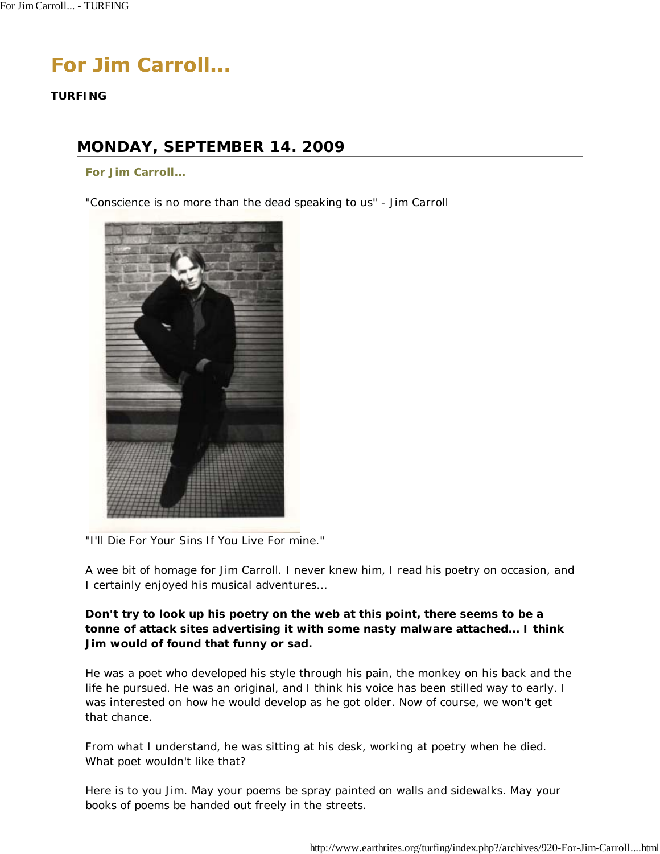# **For Jim Carroll...**

**TURFING**

## **MONDAY, SEPTEMBER 14. 2009**

**For Jim Carroll...**

*"Conscience is no more than the dead speaking to us"* - Jim Carroll



"I'll Die For Your Sins If You Live For mine."

A wee bit of homage for Jim Carroll. I never knew him, I read his poetry on occasion, and I certainly enjoyed his musical adventures...

*Don't try to look up his poetry on the web at this point, there seems to be a tonne of attack sites advertising it with some nasty malware attached... I think Jim would of found that funny or sad.*

He was a poet who developed his style through his pain, the monkey on his back and the life he pursued. He was an original, and I think his voice has been stilled way to early. I was interested on how he would develop as he got older. Now of course, we won't get that chance.

From what I understand, he was sitting at his desk, working at poetry when he died. What poet wouldn't like that?

Here is to you Jim. May your poems be spray painted on walls and sidewalks. May your books of poems be handed out freely in the streets.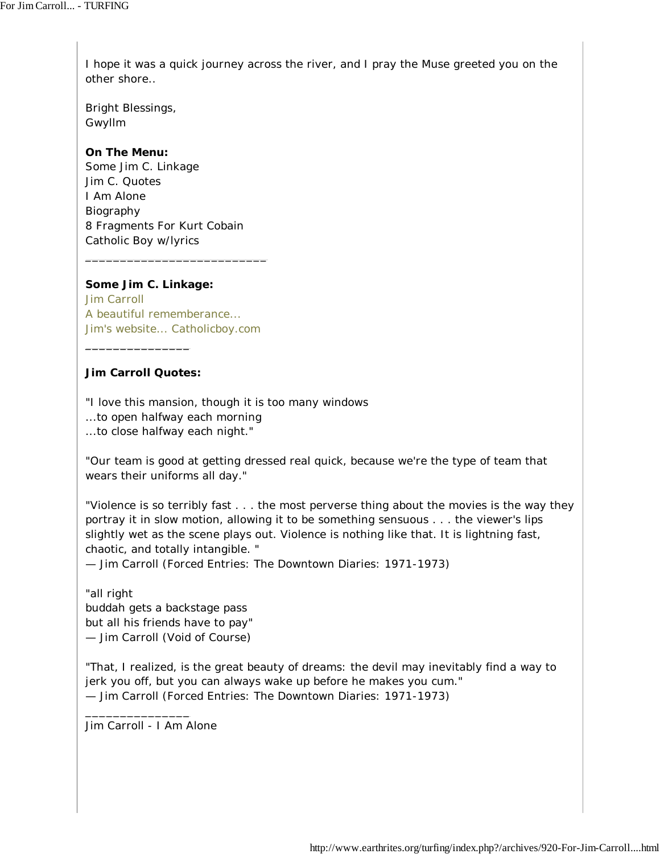I hope it was a quick journey across the river, and I pray the Muse greeted you on the other shore..

Bright Blessings, Gwyllm

### **On The Menu:**

Some Jim C. Linkage Jim C. Quotes I Am Alone Biography 8 Fragments For Kurt Cobain Catholic Boy w/lyrics

**Some Jim C. Linkage:**

Jim Carroll A beautiful rememberance... Jim's website... Catholicboy.com

\_\_\_\_\_\_\_\_\_\_\_\_\_\_\_\_\_\_\_\_\_\_\_\_\_\_

### **Jim Carroll Quotes:**

\_\_\_\_\_\_\_\_\_\_\_\_\_\_\_

"I love this mansion, though it is too many windows ...to open halfway each morning ...to close halfway each night."

"Our team is good at getting dressed real quick, because we're the type of team that wears their uniforms all day."

"Violence is so terribly fast . . . the most perverse thing about the movies is the way they portray it in slow motion, allowing it to be something sensuous . . . the viewer's lips slightly wet as the scene plays out. Violence is nothing like that. It is lightning fast, chaotic, and totally intangible. "

— Jim Carroll (Forced Entries: The Downtown Diaries: 1971-1973)

"all right buddah gets a backstage pass but all his friends have to pay" — Jim Carroll (Void of Course)

"That, I realized, is the great beauty of dreams: the devil may inevitably find a way to jerk you off, but you can always wake up before he makes you cum." — Jim Carroll (Forced Entries: The Downtown Diaries: 1971-1973)

Jim Carroll - I Am Alone

\_\_\_\_\_\_\_\_\_\_\_\_\_\_\_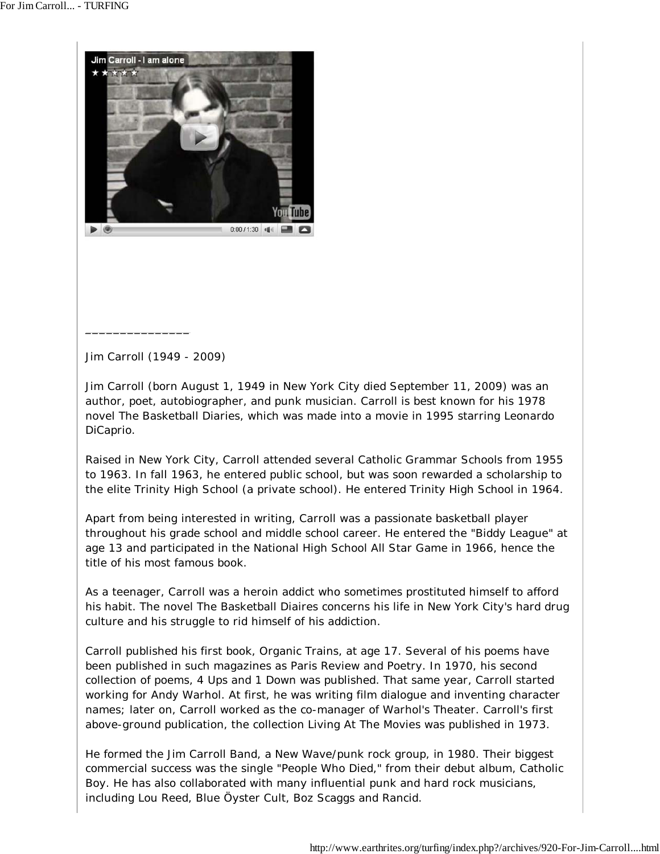

Jim Carroll (1949 - 2009)

\_\_\_\_\_\_\_\_\_\_\_\_\_\_\_

Jim Carroll (born August 1, 1949 in New York City died September 11, 2009) was an author, poet, autobiographer, and punk musician. Carroll is best known for his 1978 novel The Basketball Diaries, which was made into a movie in 1995 starring Leonardo DiCaprio.

Raised in New York City, Carroll attended several Catholic Grammar Schools from 1955 to 1963. In fall 1963, he entered public school, but was soon rewarded a scholarship to the elite Trinity High School (a private school). He entered Trinity High School in 1964.

Apart from being interested in writing, Carroll was a passionate basketball player throughout his grade school and middle school career. He entered the "Biddy League" at age 13 and participated in the National High School All Star Game in 1966, hence the title of his most famous book.

As a teenager, Carroll was a heroin addict who sometimes prostituted himself to afford his habit. The novel The Basketball Diaires concerns his life in New York City's hard drug culture and his struggle to rid himself of his addiction.

Carroll published his first book, Organic Trains, at age 17. Several of his poems have been published in such magazines as Paris Review and Poetry. In 1970, his second collection of poems, 4 Ups and 1 Down was published. That same year, Carroll started working for Andy Warhol. At first, he was writing film dialogue and inventing character names; later on, Carroll worked as the co-manager of Warhol's Theater. Carroll's first above-ground publication, the collection Living At The Movies was published in 1973.

He formed the Jim Carroll Band, a New Wave/punk rock group, in 1980. Their biggest commercial success was the single "People Who Died," from their debut album, Catholic Boy. He has also collaborated with many influential punk and hard rock musicians, including Lou Reed, Blue Öyster Cult, Boz Scaggs and Rancid.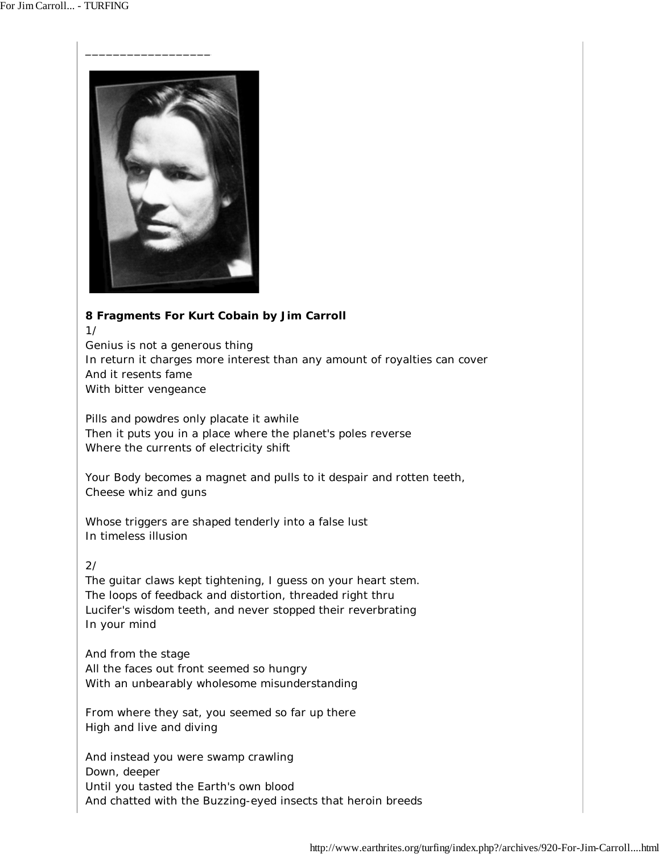

### **8 Fragments For Kurt Cobain by Jim Carroll**

1/

Genius is not a generous thing In return it charges more interest than any amount of royalties can cover And it resents fame With bitter vengeance

Pills and powdres only placate it awhile Then it puts you in a place where the planet's poles reverse Where the currents of electricity shift

Your Body becomes a magnet and pulls to it despair and rotten teeth, Cheese whiz and guns

Whose triggers are shaped tenderly into a false lust In timeless illusion

### 2/

The guitar claws kept tightening, I guess on your heart stem. The loops of feedback and distortion, threaded right thru Lucifer's wisdom teeth, and never stopped their reverbrating In your mind

And from the stage All the faces out front seemed so hungry With an unbearably wholesome misunderstanding

From where they sat, you seemed so far up there High and live and diving

And instead you were swamp crawling Down, deeper Until you tasted the Earth's own blood And chatted with the Buzzing-eyed insects that heroin breeds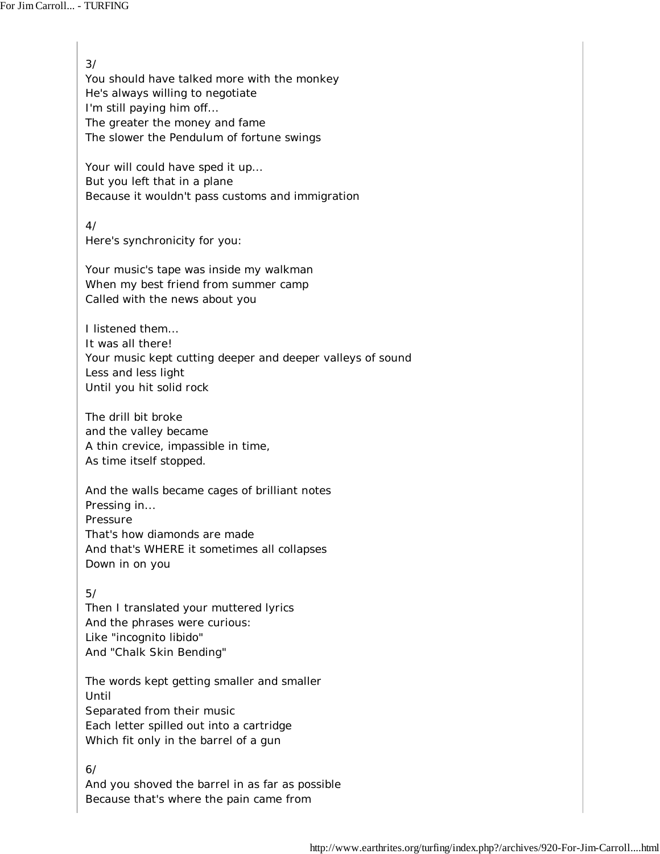3/ You should have talked more with the monkey He's always willing to negotiate I'm still paying him off... The greater the money and fame The slower the Pendulum of fortune swings Your will could have sped it up... But you left that in a plane Because it wouldn't pass customs and immigration 4/ Here's synchronicity for you: Your music's tape was inside my walkman When my best friend from summer camp Called with the news about you I listened them... It was all there! Your music kept cutting deeper and deeper valleys of sound Less and less light Until you hit solid rock The drill bit broke and the valley became A thin crevice, impassible in time, As time itself stopped. And the walls became cages of brilliant notes Pressing in... Pressure That's how diamonds are made And that's WHERE it sometimes all collapses Down in on you 5/ Then I translated your muttered lyrics And the phrases were curious: Like "incognito libido" And "Chalk Skin Bending" The words kept getting smaller and smaller Until Separated from their music Each letter spilled out into a cartridge Which fit only in the barrel of a gun 6/ And you shoved the barrel in as far as possible

Because that's where the pain came from

http://www.earthrites.org/turfing/index.php?/archives/920-For-Jim-Carroll....html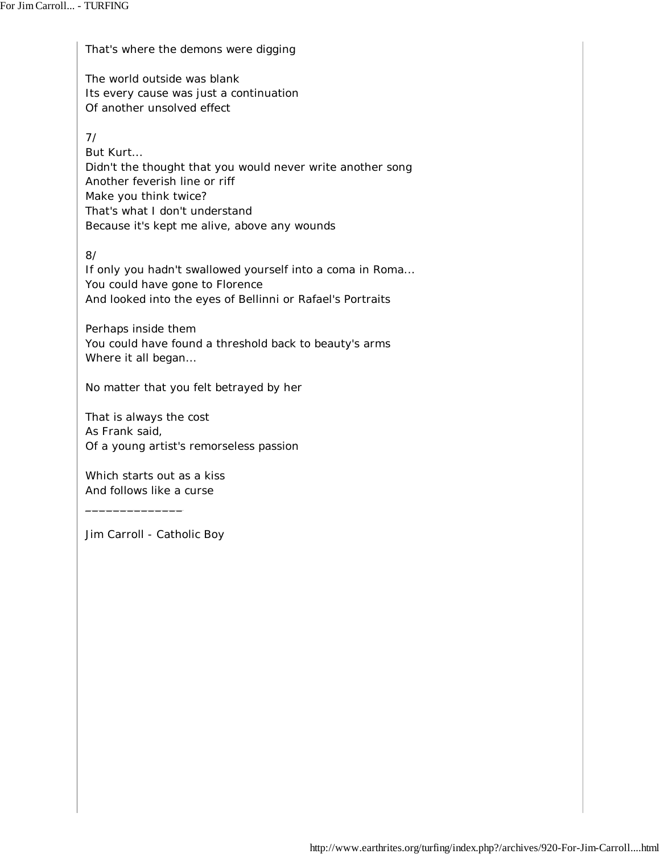That's where the demons were digging

The world outside was blank Its every cause was just a continuation Of another unsolved effect

7/

But Kurt... Didn't the thought that you would never write another song Another feverish line or riff Make you think twice? That's what I don't understand Because it's kept me alive, above any wounds

8/

If only you hadn't swallowed yourself into a coma in Roma... You could have gone to Florence And looked into the eyes of Bellinni or Rafael's Portraits

Perhaps inside them You could have found a threshold back to beauty's arms Where it all began...

No matter that you felt betrayed by her

That is always the cost As Frank said, Of a young artist's remorseless passion

Which starts out as a kiss And follows like a curse

\_\_\_\_\_\_\_\_\_\_\_\_\_\_

Jim Carroll - Catholic Boy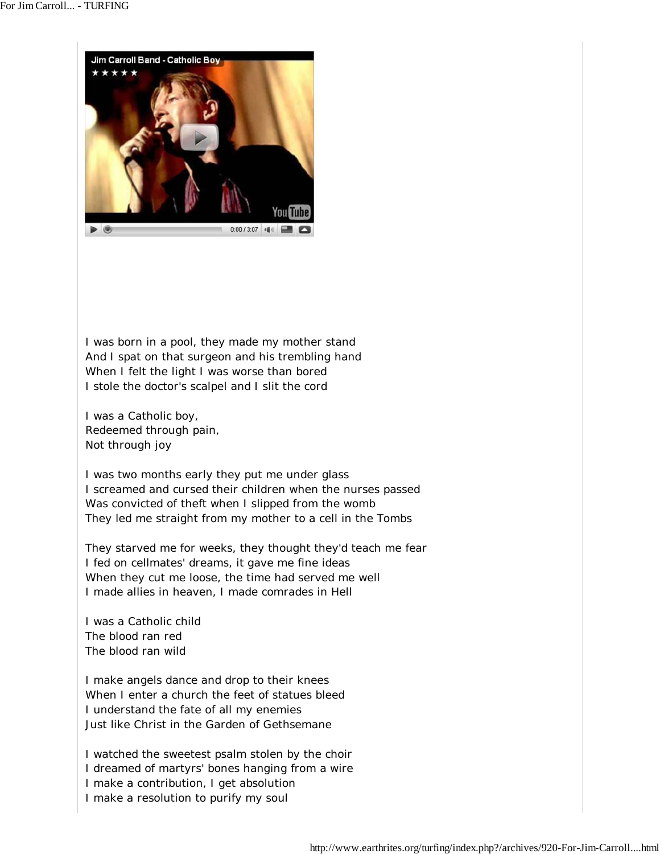

I was born in a pool, they made my mother stand And I spat on that surgeon and his trembling hand When I felt the light I was worse than bored I stole the doctor's scalpel and I slit the cord

I was a Catholic boy, Redeemed through pain, Not through joy

I was two months early they put me under glass I screamed and cursed their children when the nurses passed Was convicted of theft when I slipped from the womb They led me straight from my mother to a cell in the Tombs

They starved me for weeks, they thought they'd teach me fear I fed on cellmates' dreams, it gave me fine ideas When they cut me loose, the time had served me well I made allies in heaven, I made comrades in Hell

I was a Catholic child The blood ran red The blood ran wild

I make angels dance and drop to their knees When I enter a church the feet of statues bleed I understand the fate of all my enemies Just like Christ in the Garden of Gethsemane

I watched the sweetest psalm stolen by the choir I dreamed of martyrs' bones hanging from a wire I make a contribution, I get absolution I make a resolution to purify my soul